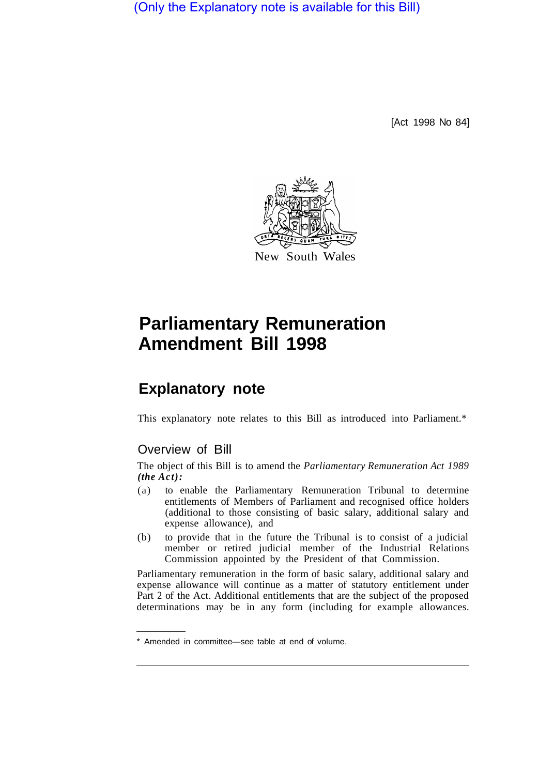(Only the Explanatory note is available for this Bill)

[Act 1998 No 84]



## **Parliamentary Remuneration Amendment Bill 1998**

## **Explanatory note**

This explanatory note relates to this Bill as introduced into Parliament.\*

## Overview of Bill

The object of this Bill is to amend the *Parliamentary Remuneration Act 1989 (the Act):* 

- (a) to enable the Parliamentary Remuneration Tribunal to determine entitlements of Members of Parliament and recognised office holders (additional to those consisting of basic salary, additional salary and expense allowance), and
- (b) to provide that in the future the Tribunal is to consist of a judicial member or retired judicial member of the Industrial Relations Commission appointed by the President of that Commission.

Parliamentary remuneration in the form of basic salary, additional salary and expense allowance will continue as a matter of statutory entitlement under Part 2 of the Act. Additional entitlements that are the subject of the proposed determinations may be in any form (including for example allowances.

Amended in committee—see table at end of volume.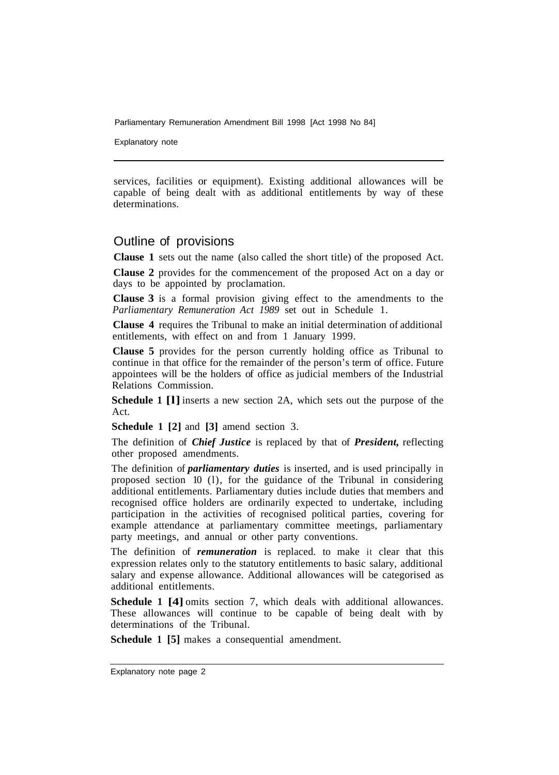Parliamentary Remuneration Amendment Bill 1998 [Act 1998 No 84]

Explanatory note

services, facilities or equipment). Existing additional allowances will be capable of being dealt with as additional entitlements by way of these determinations.

## Outline of provisions

**Clause 1** sets out the name (also called the short title) of the proposed Act.

**Clause 2** provides for the commencement of the proposed Act on a day or days to be appointed by proclamation.

**Clause 3** is a formal provision giving effect to the amendments to the *Parliamentary Remuneration Act 1989* set out in Schedule 1.

**Clause 4** requires the Tribunal to make an initial determination of additional entitlements, with effect on and from 1 January 1999.

**Clause 5** provides for the person currently holding office as Tribunal to continue in that office for the remainder of the person's term of office. Future appointees will be the holders of office as judicial members of the Industrial Relations Commission.

**Schedule 1 [l]** inserts a new section 2A, which sets out the purpose of the Act.

**Schedule 1 [2]** and **[3]** amend section 3.

The definition of *Chief Justice* is replaced by that of *President,* reflecting other proposed amendments.

The definition of *parliamentary duties* is inserted, and is used principally in proposed section 10 (l), for the guidance of the Tribunal in considering additional entitlements. Parliamentary duties include duties that members and recognised office holders are ordinarily expected to undertake, including participation in the activities of recognised political parties, covering for example attendance at parliamentary committee meetings, parliamentary party meetings, and annual or other party conventions.

The definition of *remuneration* is replaced. to make it clear that this expression relates only to the statutory entitlements to basic salary, additional salary and expense allowance. Additional allowances will be categorised as additional entitlements.

**Schedule 1 [4]** omits section 7, which deals with additional allowances. These allowances will continue to be capable of being dealt with by determinations of the Tribunal.

**Schedule 1 [5]** makes a consequential amendment.

Explanatory note page 2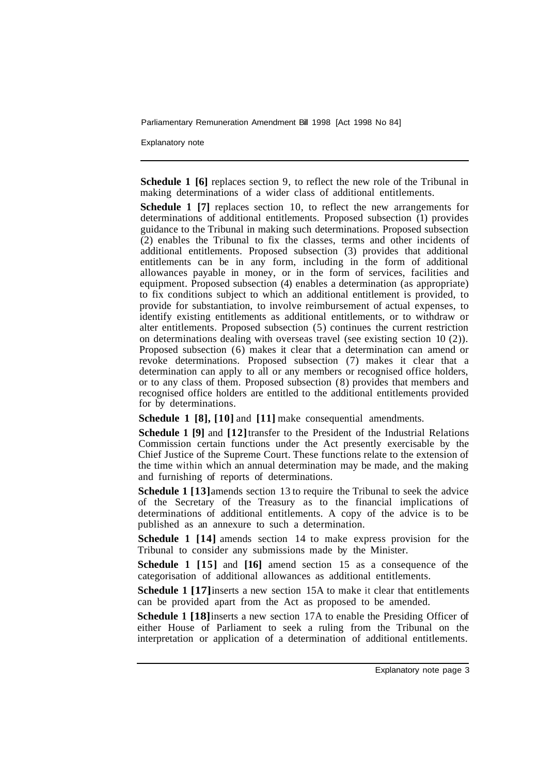Parliamentary Remuneration Amendment Bill 1998 [Act 1998 No 84]

Explanatory note

**Schedule 1 [6]** replaces section 9, to reflect the new role of the Tribunal in making determinations of a wider class of additional entitlements.

**Schedule 1 [7]** replaces section 10, to reflect the new arrangements for determinations of additional entitlements. Proposed subsection (1) provides guidance to the Tribunal in making such determinations. Proposed subsection (2) enables the Tribunal to fix the classes, terms and other incidents of additional entitlements. Proposed subsection (3) provides that additional entitlements can be in any form, including in the form of additional allowances payable in money, or in the form of services, facilities and equipment. Proposed subsection (4) enables a determination (as appropriate) to fix conditions subject to which an additional entitlement is provided, to provide for substantiation, to involve reimbursement of actual expenses, to identify existing entitlements as additional entitlements, or to withdraw or alter entitlements. Proposed subsection (5) continues the current restriction on determinations dealing with overseas travel (see existing section 10 (2)). Proposed subsection (6) makes it clear that a determination can amend or revoke determinations. Proposed subsection (7) makes it clear that a determination can apply to all or any members or recognised office holders, or to any class of them. Proposed subsection (8) provides that members and recognised office holders are entitled to the additional entitlements provided for by determinations.

**Schedule 1 [8], [10]** and **[11]** make consequential amendments.

**Schedule 1 [9]** and **[12]** transfer to the President of the Industrial Relations Commission certain functions under the Act presently exercisable by the Chief Justice of the Supreme Court. These functions relate to the extension of the time within which an annual determination may be made, and the making and furnishing of reports of determinations.

**Schedule 1 [13]** amends section 13 to require the Tribunal to seek the advice of the Secretary of the Treasury as to the financial implications of determinations of additional entitlements. A copy of the advice is to be published as an annexure to such a determination.

**Schedule 1 [14]** amends section 14 to make express provision for the Tribunal to consider any submissions made by the Minister.

**Schedule 1 [15]** and **[16]** amend section 15 as a consequence of the categorisation of additional allowances as additional entitlements.

**Schedule 1 [17]** inserts a new section 15A to make it clear that entitlements can be provided apart from the Act as proposed to be amended.

**Schedule 1 [18]** inserts a new section 17A to enable the Presiding Officer of either House of Parliament to seek a ruling from the Tribunal on the interpretation or application of a determination of additional entitlements.